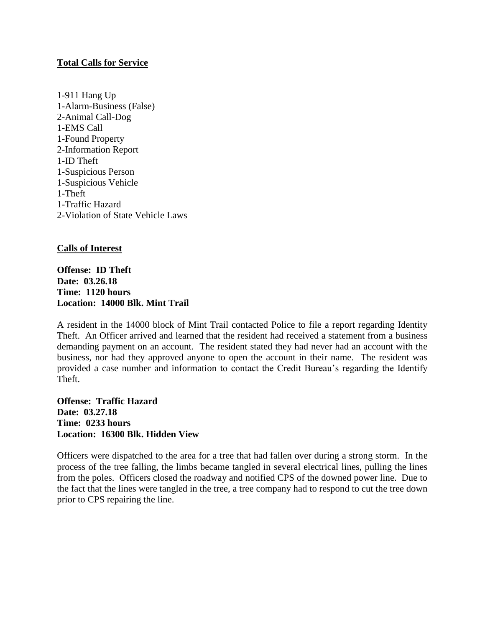## **Total Calls for Service**

1-911 Hang Up 1-Alarm-Business (False) 2-Animal Call-Dog 1-EMS Call 1-Found Property 2-Information Report 1-ID Theft 1-Suspicious Person 1-Suspicious Vehicle 1-Theft 1-Traffic Hazard 2-Violation of State Vehicle Laws

## **Calls of Interest**

**Offense: ID Theft Date: 03.26.18 Time: 1120 hours Location: 14000 Blk. Mint Trail**

A resident in the 14000 block of Mint Trail contacted Police to file a report regarding Identity Theft. An Officer arrived and learned that the resident had received a statement from a business demanding payment on an account. The resident stated they had never had an account with the business, nor had they approved anyone to open the account in their name. The resident was provided a case number and information to contact the Credit Bureau's regarding the Identify Theft.

**Offense: Traffic Hazard Date: 03.27.18 Time: 0233 hours Location: 16300 Blk. Hidden View**

Officers were dispatched to the area for a tree that had fallen over during a strong storm. In the process of the tree falling, the limbs became tangled in several electrical lines, pulling the lines from the poles. Officers closed the roadway and notified CPS of the downed power line. Due to the fact that the lines were tangled in the tree, a tree company had to respond to cut the tree down prior to CPS repairing the line.